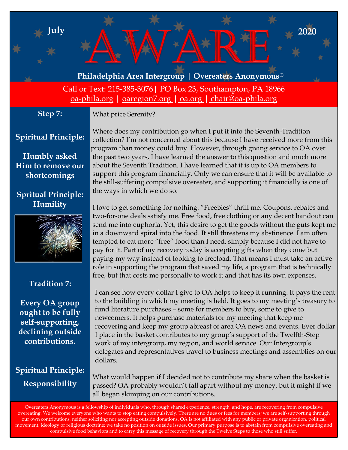**July 2020** 

Call or Text: 215-385-3076**|** PO Box 23, Southampton, PA 18966 oa-phila.org **|** [oaregion7.org](file:///C:/Users/Owner/Documents/oaregion7.org) **|** oa.org **|** chair@oa-phila.org  **Philadelphia Area Intergroup | Overeaters Anonymous®**

**Step 7:**

## What price Serenity?

**Spiritual Principle:**

**Humbly asked Him to remove our shortcomings**

# **Spritual Principle: Humility**



# **Tradition 7:**

**Every OA group ought to be fully self-supporting, declining outside contributions.**

**Spiritual Principle: Responsibility**

Where does my contribution go when I put it into the Seventh-Tradition collection? I'm not concerned about this because I have received more from this program than money could buy. However, through giving service to OA over the past two years, I have learned the answer to this question and much more about the Seventh Tradition. I have learned that it is up to OA members to support this program financially. Only we can ensure that it will be available to the still-suffering compulsive overeater, and supporting it financially is one of the ways in which we do so.

I love to get something for nothing. "Freebies" thrill me. Coupons, rebates and two-for-one deals satisfy me. Free food, free clothing or any decent handout can send me into euphoria. Yet, this desire to get the goods without the guts kept me in a downward spiral into the food. It still threatens my abstinence. I am often tempted to eat more "free" food than I need, simply because I did not have to pay for it. Part of my recovery today is accepting gifts when they come but paying my way instead of looking to freeload. That means I must take an active role in supporting the program that saved my life, a program that is technically free, but that costs me personally to work it and that has its own expenses.

I can see how every dollar I give to OA helps to keep it running. It pays the rent to the building in which my meeting is held. It goes to my meeting's treasury to fund literature purchases – some for members to buy, some to give to newcomers. It helps purchase materials for my meeting that keep me recovering and keep my group abreast of area OA news and events. Ever dollar I place in the basket contributes to my group's support of the Twelfth-Step work of my intergroup, my region, and world service. Our Intergroup's delegates and representatives travel to business meetings and assemblies on our dollars.

What would happen if I decided not to contribute my share when the basket is passed? OA probably wouldn't fall apart without my money, but it might if we all began skimping on our contributions.

Overeaters Anonymous is a fellowship of individuals who, through shared experience, strength, and hope, are recovering from compulsive overeating. We welcome everyone who wants to stop eating compulsively. There are no dues or fees for members; we are self-supporting through our own contributions, neither soliciting nor accepting outside donations. OA is not affiliated with any public or private organization, political movement, ideology or religious doctrine; we take no position on outside issues. Our primary purpose is to abstain from compulsive overeating and compulsive food behaviors and to carry this message of recovery through the Twelve Steps to those who still suffer.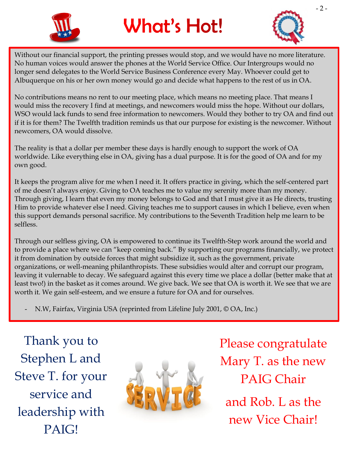

# **What's Hot!**



Without our financial support, the printing presses would stop, and we would have no more literature. No human voices would answer the phones at the World Service Office. Our Intergroups would no longer send delegates to the World Service Business Conference every May. Whoever could get to Albuquerque on his or her own money would go and decide what happens to the rest of us in OA.

 if it is for them? The Twelfth tradition reminds us that our purpose for existing is the newcomer. Without No contributions means no rent to our meeting place, which means no meeting place. That means I would miss the recovery I find at meetings, and newcomers would miss the hope. Without our dollars, WSO would lack funds to send free information to newcomers. Would they bother to try OA and find out newcomers, OA would dissolve.

The reality is that a dollar per member these days is hardly enough to support the work of OA worldwide. Like everything else in OA, giving has a dual purpose. It is for the good of OA and for my own good.

It keeps the program alive for me when I need it. It offers practice in giving, which the self-centered part of me doesn't always enjoy. Giving to OA teaches me to value my serenity more than my money. Through giving, I learn that even my money belongs to God and that I must give it as He directs, trusting Him to provide whatever else I need. Giving teaches me to support causes in which I believe, even when this support demands personal sacrifice. My contributions to the Seventh Tradition help me learn to be selfless.

Through our selfless giving, OA is empowered to continue its Twelfth-Step work around the world and to provide a place where we can "keep coming back." By supporting our programs financially, we protect it from domination by outside forces that might subsidize it, such as the government, private organizations, or well-meaning philanthropists. These subsidies would alter and corrupt our program, leaving it vulernable to decay. We safeguard against this every time we place a dollar (better make that at least two!) in the basket as it comes around. We give back. We see that OA is worth it. We see that we are worth it. We gain self-esteem, and we ensure a future for OA and for ourselves.

- N.W, Fairfax, Virginia USA (reprinted from Lifeline July 2001, © OA, Inc.)

Thank you to Stephen L and Steve T. for your service and leadership with PAIG!



Please congratulate Mary T. as the new PAIG Chair and Rob. L as the new Vice Chair!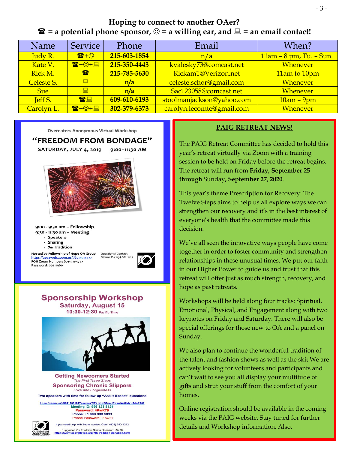## **Hoping to connect to another OAer?**   $\mathbf{\hat{E}}$  = a potential phone sponsor,  $\mathbf{\hat{C}}$  = a willing ear, and  $\mathbf{\Xi}$  = an email contact!

| Name           | Service                       | Phone        | Email                     | When?                   |
|----------------|-------------------------------|--------------|---------------------------|-------------------------|
| Judy R.        | $x + 3$                       | 215-603-1854 | n/a                       | 11am - 8 pm, Tu. - Sun. |
| Kate V.        | <b>雷+++</b>                   | 215-350-4443 | kvalesky73@comcast.net    | <b>Whenever</b>         |
| Rick M.        | $\mathbf{F}$                  | 215-785-5630 | Rickam1@Verizon.net       | 11am to 10pm            |
| Celeste S.     | <u>a</u>                      | n/a          | celeste.schor@gmail.com   | Whenever                |
| <b>Sue</b>     | 鳳                             | n/a          | Sac123058@comcast.net     | Whenever                |
| <b>Jeff S.</b> | $\mathbf{R}$ , $\blacksquare$ | 609-610-6193 | stoolmanjackson@yahoo.com | $10am - 9pm$            |
| Carolyn L.     | <b>雷+++</b>                   | 302-379-6373 | carolyn.lecomte@gmail.com | Whenever                |

**Overeaters Anonymous Virtual Workshop** 

### "FREEDOM FROM BONDAGE"

SATURDAY, JULY 4, 2019 9:00-11:30 AM



9:00 - 9:30 am - Fellowship

- 9:30 11:30 am Meeting
	- **Speakers** - Sharing
	- 7th Tradition

Hosted by Fellowship of Hope OA Group **Questions? Contact** https://uso4web.zoom.us/j/6013914777 FOH Zoom Number: 601-391-4777 Password: 09211960



**Sponsorship Workshop Saturday, August 15** 10:30-12:30 Pacific Time



**Getting Newcomers Started** The First Three Steps **Sponsoring Chronic Slippers** Love and Forgiveness

Two speakers with time for follow-up "Ask It Basket" questions

<u>ttps://zoom.us/i/9961238124?pwd=aVR6Y1dtNG5ooHFNanlWdHdyU3JsQT09</u><br>Meeting ID: 996 123 8124<br>Password: 4KwK79<br>Phone: +1 669 900 6833 Phone Password: 874751

If you need help with Zoom, contact Gerri: (808) 250-1212 Suggested 7th Tradition Online Donation: \$5.00<br>https://www.sacvalleyoa.org/7th-tradition-donation.

#### **PAIG RETREAT NEWS!**

The PAIG Retreat Committee has decided to hold this year's retreat virtually via Zoom with a training session to be held on Friday before the retreat begins. The retreat will run from **Friday, September 25 through** Sunday**, September 27, 2020**.

This year's theme Prescription for Recovery: The Twelve Steps aims to help us all explore ways we can strengthen our recovery and it's in the best interest of everyone's health that the committee made this decision.

We've all seen the innovative ways people have come together in order to foster community and strengthen relationships in these unusual times. We put our faith in our Higher Power to guide us and trust that this retreat will offer just as much strength, recovery, and hope as past retreats.

Workshops will be held along four tracks: Spiritual, Emotional, Physical, and Engagement along with two keynotes on Friday and Saturday. There will also be special offerings for those new to OA and a panel on Sunday.

We also plan to continue the wonderful tradition of the talent and fashion shows as well as the skit We are actively looking for volunteers and participants and can't wait to see you all display your multitude of gifts and strut your stuff from the comfort of your homes.

Online registration should be available in the coming weeks via the PAIG website. Stay tuned for further details and Workshop information. Also,

SAVE THAT DATE!